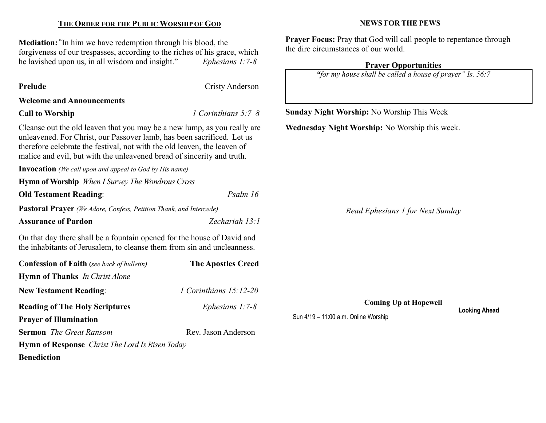## THE ORDER FOR THE PUBLIC WORSHIP OF GOD

Mediation: "In him we have redemption through his blood, the forgiveness of our trespasses, according to the riches of his grace, which<br>he lavished upon us, in all wisdom and insight." Ephesians 1:7-8 he lavished upon us, in all wisdom and insight."

| <b>Prelude</b>                                                                                                                                                                                                                                                                                           | <b>Cristy Anderson</b>    |                                                      |  |  |
|----------------------------------------------------------------------------------------------------------------------------------------------------------------------------------------------------------------------------------------------------------------------------------------------------------|---------------------------|------------------------------------------------------|--|--|
| <b>Welcome and Announcements</b>                                                                                                                                                                                                                                                                         |                           |                                                      |  |  |
| <b>Call to Worship</b>                                                                                                                                                                                                                                                                                   | 1 Corinthians $5:7-8$     | <b>Sunday Night Worship: No Worship This Week</b>    |  |  |
| Cleanse out the old leaven that you may be a new lump, as you really are<br>unleavened. For Christ, our Passover lamb, has been sacrificed. Let us<br>therefore celebrate the festival, not with the old leaven, the leaven of<br>malice and evil, but with the unleavened bread of sincerity and truth. |                           | Wednesday Night Worship: No Worship this week.       |  |  |
| <b>Invocation</b> (We call upon and appeal to God by His name)                                                                                                                                                                                                                                           |                           |                                                      |  |  |
| <b>Hymn of Worship</b> When I Survey The Wondrous Cross                                                                                                                                                                                                                                                  |                           |                                                      |  |  |
| <b>Old Testament Reading:</b>                                                                                                                                                                                                                                                                            | Psalm 16                  |                                                      |  |  |
| Pastoral Prayer (We Adore, Confess, Petition Thank, and Intercede)                                                                                                                                                                                                                                       |                           | Read Ephesians 1 for Next Sunday                     |  |  |
| <b>Assurance of Pardon</b>                                                                                                                                                                                                                                                                               | Zechariah 13:1            |                                                      |  |  |
| On that day there shall be a fountain opened for the house of David and<br>the inhabitants of Jerusalem, to cleanse them from sin and uncleanness.                                                                                                                                                       |                           |                                                      |  |  |
| <b>Confession of Faith</b> (see back of bulletin)                                                                                                                                                                                                                                                        | <b>The Apostles Creed</b> |                                                      |  |  |
| <b>Hymn of Thanks</b> In Christ Alone                                                                                                                                                                                                                                                                    |                           |                                                      |  |  |
| <b>New Testament Reading:</b>                                                                                                                                                                                                                                                                            | 1 Corinthians 15:12-20    |                                                      |  |  |
| <b>Reading of The Holy Scriptures</b>                                                                                                                                                                                                                                                                    | Ephesians $1:7-8$         | <b>Coming Up at Hopewell</b><br><b>Looking Ahead</b> |  |  |
| <b>Prayer of Illumination</b>                                                                                                                                                                                                                                                                            |                           | Sun 4/19 - 11:00 a.m. Online Worship                 |  |  |
| <b>Sermon</b> The Great Ransom                                                                                                                                                                                                                                                                           | Rev. Jason Anderson       |                                                      |  |  |
| <b>Hymn of Response</b> <i>Christ The Lord Is Risen Today</i>                                                                                                                                                                                                                                            |                           |                                                      |  |  |
| <b>Benediction</b>                                                                                                                                                                                                                                                                                       |                           |                                                      |  |  |
|                                                                                                                                                                                                                                                                                                          |                           |                                                      |  |  |

#### NEWS FOR THE PEWS

Prayer Focus: Pray that God will call people to repentance through the dire circumstances of our world.

> Prayer Opportunities "for my house shall be called a house of prayer" Is. 56:7